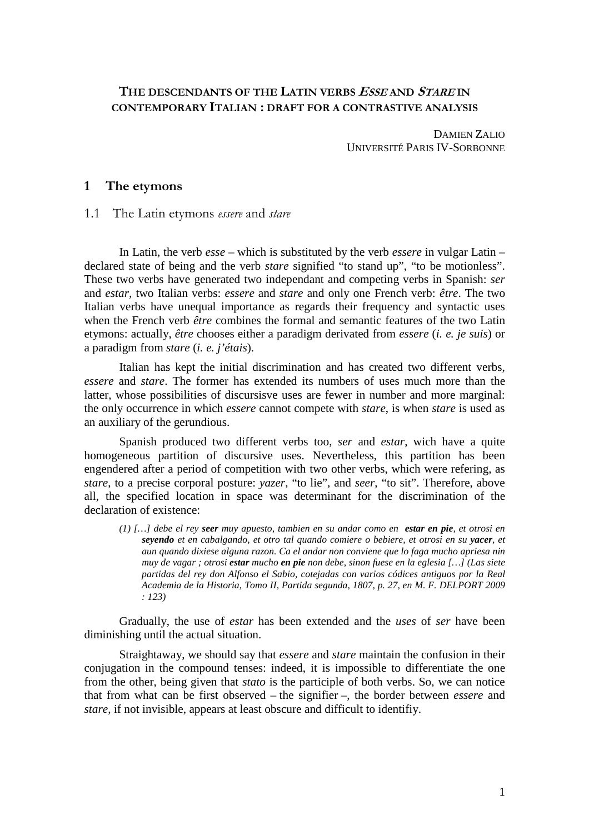# **THE DESCENDANTS OF THE LATIN VERBS ESSE AND STARE IN CONTEMPORARY ITALIAN : DRAFT FOR A CONTRASTIVE ANALYSIS**

DAMIEN ZALIO UNIVERSITÉ PARIS IV-SORBONNE

### **1 The etymons**

1.1 The Latin etymons *essere* and *stare* 

In Latin, the verb *esse* – which is substituted by the verb *essere* in vulgar Latin – declared state of being and the verb *stare* signified "to stand up", "to be motionless". These two verbs have generated two independant and competing verbs in Spanish: *ser* and *estar,* two Italian verbs: *essere* and *stare* and only one French verb: *être*. The two Italian verbs have unequal importance as regards their frequency and syntactic uses when the French verb *être* combines the formal and semantic features of the two Latin etymons: actually, *être* chooses either a paradigm derivated from *essere* (*i. e. je suis*) or a paradigm from *stare* (*i. e. j'étais*).

Italian has kept the initial discrimination and has created two different verbs, *essere* and *stare*. The former has extended its numbers of uses much more than the latter, whose possibilities of discursisve uses are fewer in number and more marginal: the only occurrence in which *essere* cannot compete with *stare*, is when *stare* is used as an auxiliary of the gerundious.

Spanish produced two different verbs too, *ser* and *estar*, wich have a quite homogeneous partition of discursive uses. Nevertheless, this partition has been engendered after a period of competition with two other verbs, which were refering, as *stare*, to a precise corporal posture: *yazer*, "to lie", and *seer*, "to sit". Therefore, above all, the specified location in space was determinant for the discrimination of the declaration of existence:

*(1) […] debe el rey seer muy apuesto, tambien en su andar como en estar en pie, et otrosi en seyendo et en cabalgando, et otro tal quando comiere o bebiere, et otrosi en su yacer, et aun quando dixiese alguna razon. Ca el andar non conviene que lo faga mucho apriesa nin muy de vagar ; otrosi estar mucho en pie non debe, sinon fuese en la eglesia […] (Las siete partidas del rey don Alfonso el Sabio, cotejadas con varios códices antiguos por la Real Academia de la Historia, Tomo II, Partida segunda, 1807, p. 27, en M. F. DELPORT 2009 : 123)* 

Gradually, the use of *estar* has been extended and the *uses* of *ser* have been diminishing until the actual situation.

Straightaway, we should say that *essere* and *stare* maintain the confusion in their conjugation in the compound tenses: indeed, it is impossible to differentiate the one from the other, being given that *stato* is the participle of both verbs. So, we can notice that from what can be first observed – the signifier –, the border between *essere* and *stare*, if not invisible, appears at least obscure and difficult to identifiy.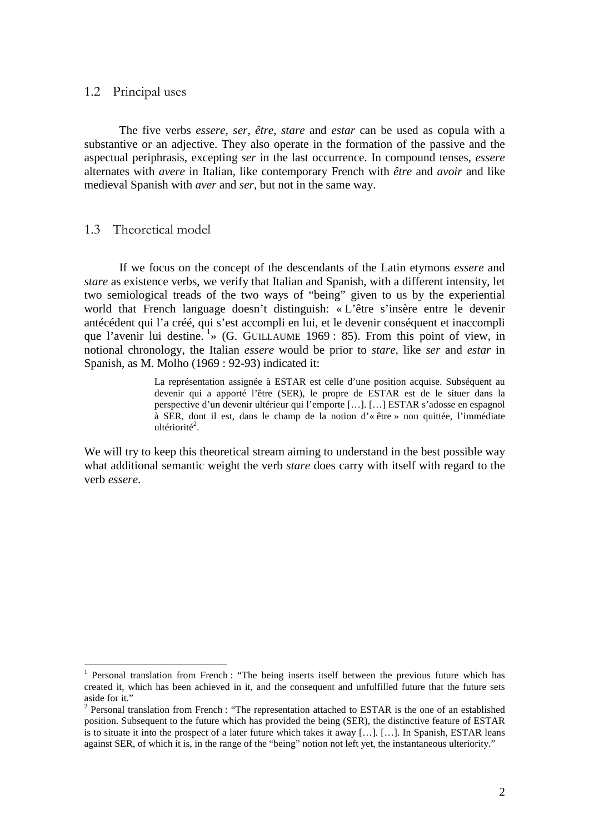## 1.2 Principal uses

The five verbs *essere*, *ser*, *être*, *stare* and *estar* can be used as copula with a substantive or an adjective. They also operate in the formation of the passive and the aspectual periphrasis, excepting *ser* in the last occurrence. In compound tenses, *essere* alternates with *avere* in Italian, like contemporary French with *être* and *avoir* and like medieval Spanish with *aver* and *ser*, but not in the same way.

## 1.3 Theoretical model

 $\overline{a}$ 

If we focus on the concept of the descendants of the Latin etymons *essere* and *stare* as existence verbs, we verify that Italian and Spanish, with a different intensity, let two semiological treads of the two ways of "being" given to us by the experiential world that French language doesn't distinguish: « L'être s'insère entre le devenir antécédent qui l'a créé, qui s'est accompli en lui, et le devenir conséquent et inaccompli que l'avenir lui destine.  $\frac{1}{1}$  (G. GUILLAUME 1969 : 85). From this point of view, in notional chronology, the Italian *essere* would be prior to *stare*, like *ser* and *estar* in Spanish, as M. Molho (1969 : 92-93) indicated it:

> La représentation assignée à ESTAR est celle d'une position acquise. Subséquent au devenir qui a apporté l'être (SER), le propre de ESTAR est de le situer dans la perspective d'un devenir ultérieur qui l'emporte […]. […] ESTAR s'adosse en espagnol à SER, dont il est, dans le champ de la notion d'« être » non quittée, l'immédiate ultériorité<sup>2</sup>.

We will try to keep this theoretical stream aiming to understand in the best possible way what additional semantic weight the verb *stare* does carry with itself with regard to the verb *essere*.

<sup>&</sup>lt;sup>1</sup> Personal translation from French : "The being inserts itself between the previous future which has created it, which has been achieved in it, and the consequent and unfulfilled future that the future sets aside for it."

 $2$  Personal translation from French : "The representation attached to ESTAR is the one of an established position. Subsequent to the future which has provided the being (SER), the distinctive feature of ESTAR is to situate it into the prospect of a later future which takes it away […]. […]. In Spanish, ESTAR leans against SER, of which it is, in the range of the "being" notion not left yet, the instantaneous ulteriority."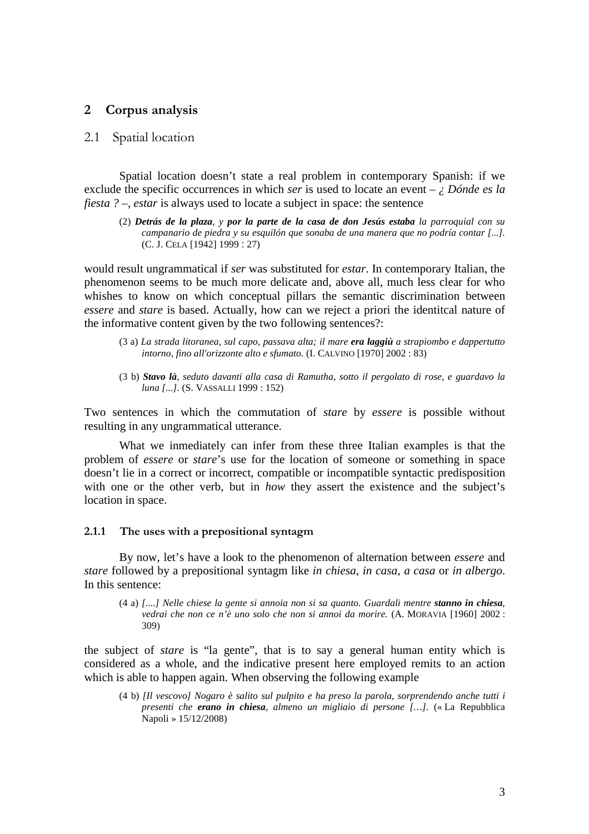## **2 Corpus analysis**

## 2.1 Spatial location

Spatial location doesn't state a real problem in contemporary Spanish: if we exclude the specific occurrences in which *ser* is used to locate an event – *¿ Dónde es la fiesta ? –*, *estar* is always used to locate a subject in space: the sentence

(2) *Detrás de la plaza, y por la parte de la casa de don Jesús estaba la parroquial con su campanario de piedra y su esquilón que sonaba de una manera que no podría contar [...].*  (C. J. CELA [1942] 1999 : 27)

would result ungrammatical if *ser* was substituted for *estar*. In contemporary Italian, the phenomenon seems to be much more delicate and, above all, much less clear for who whishes to know on which conceptual pillars the semantic discrimination between *essere* and *stare* is based. Actually, how can we reject a priori the identitcal nature of the informative content given by the two following sentences?:

- (3 a) *La strada litoranea, sul capo, passava alta; il mare era laggiù a strapiombo e dappertutto intorno, fino all'orizzonte alto e sfumato.* (I. CALVINO [1970] 2002 : 83)
- (3 b) *Stavo là, seduto davanti alla casa di Ramutha, sotto il pergolato di rose, e guardavo la luna [...].* (S. VASSALLI 1999 : 152)

Two sentences in which the commutation of *stare* by *essere* is possible without resulting in any ungrammatical utterance.

What we inmediately can infer from these three Italian examples is that the problem of *essere* or *stare*'s use for the location of someone or something in space doesn't lie in a correct or incorrect, compatible or incompatible syntactic predisposition with one or the other verb, but in *how* they assert the existence and the subject's location in space.

## **2.1.1 The uses with a prepositional syntagm**

By now, let's have a look to the phenomenon of alternation between *essere* and *stare* followed by a prepositional syntagm like *in chiesa*, *in casa*, *a casa* or *in albergo*. In this sentence:

(4 a) *[....] Nelle chiese la gente si annoia non si sa quanto. Guardali mentre stanno in chiesa, vedrai che non ce n'è uno solo che non si annoi da morire.* (A. MORAVIA [1960] 2002 : 309)

the subject of *stare* is "la gente", that is to say a general human entity which is considered as a whole, and the indicative present here employed remits to an action which is able to happen again. When observing the following example

(4 b) *[Il vescovo] Nogaro è salito sul pulpito e ha preso la parola, sorprendendo anche tutti i presenti che erano in chiesa, almeno un migliaio di persone […].* (« La Repubblica Napoli » 15/12/2008)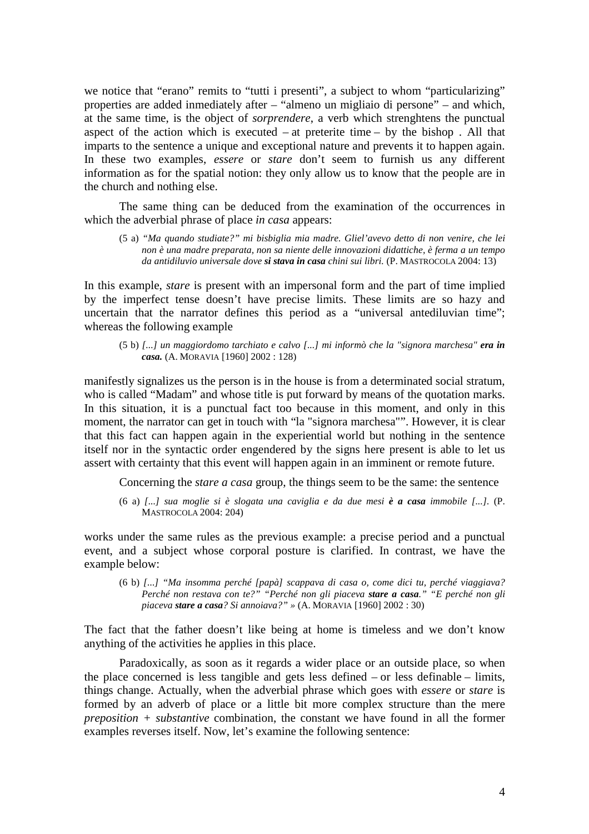we notice that "erano" remits to "tutti i presenti", a subject to whom "particularizing" properties are added inmediately after – "almeno un migliaio di persone" – and which, at the same time, is the object of *sorprendere*, a verb which strenghtens the punctual aspect of the action which is executed – at preterite time – by the bishop. All that imparts to the sentence a unique and exceptional nature and prevents it to happen again. In these two examples, *essere* or *stare* don't seem to furnish us any different information as for the spatial notion: they only allow us to know that the people are in the church and nothing else.

The same thing can be deduced from the examination of the occurrences in which the adverbial phrase of place *in casa* appears:

(5 a) *"Ma quando studiate?" mi bisbiglia mia madre. Gliel'avevo detto di non venire, che lei non è una madre preparata, non sa niente delle innovazioni didattiche, è ferma a un tempo da antidiluvio universale dove si stava in casa chini sui libri.* (P. MASTROCOLA 2004: 13)

In this example, *stare* is present with an impersonal form and the part of time implied by the imperfect tense doesn't have precise limits. These limits are so hazy and uncertain that the narrator defines this period as a "universal antediluvian time"; whereas the following example

(5 b) *[...] un maggiordomo tarchiato e calvo [...] mi informò che la "signora marchesa" era in casa.* (A. MORAVIA [1960] 2002 : 128)

manifestly signalizes us the person is in the house is from a determinated social stratum, who is called "Madam" and whose title is put forward by means of the quotation marks. In this situation, it is a punctual fact too because in this moment, and only in this moment, the narrator can get in touch with "la "signora marchesa"". However, it is clear that this fact can happen again in the experiential world but nothing in the sentence itself nor in the syntactic order engendered by the signs here present is able to let us assert with certainty that this event will happen again in an imminent or remote future.

Concerning the *stare a casa* group, the things seem to be the same: the sentence

(6 a) *[...] sua moglie si è slogata una caviglia e da due mesi è a casa immobile [...].* (P. MASTROCOLA 2004: 204)

works under the same rules as the previous example: a precise period and a punctual event, and a subject whose corporal posture is clarified. In contrast, we have the example below:

(6 b) *[...] "Ma insomma perché [papà] scappava di casa o, come dici tu, perché viaggiava? Perché non restava con te?" "Perché non gli piaceva stare a casa." "E perché non gli piaceva stare a casa? Si annoiava?" »* (A. MORAVIA [1960] 2002 : 30)

The fact that the father doesn't like being at home is timeless and we don't know anything of the activities he applies in this place.

Paradoxically, as soon as it regards a wider place or an outside place, so when the place concerned is less tangible and gets less defined – or less definable – limits, things change. Actually, when the adverbial phrase which goes with *essere* or *stare* is formed by an adverb of place or a little bit more complex structure than the mere *preposition + substantive* combination, the constant we have found in all the former examples reverses itself. Now, let's examine the following sentence: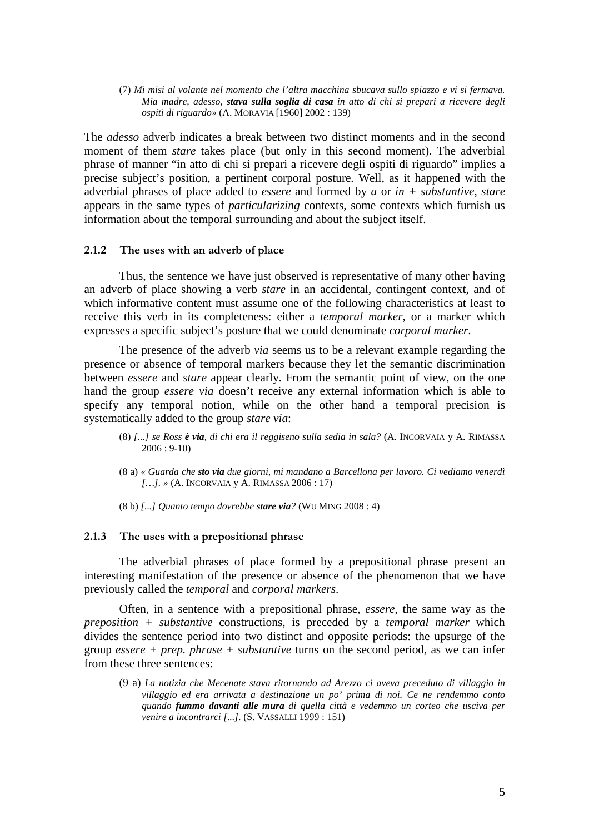(7) *Mi misi al volante nel momento che l'altra macchina sbucava sullo spiazzo e vi si fermava. Mia madre, adesso, stava sulla soglia di casa in atto di chi si prepari a ricevere degli ospiti di riguardo»* (A. MORAVIA [1960] 2002 : 139)

The *adesso* adverb indicates a break between two distinct moments and in the second moment of them *stare* takes place (but only in this second moment). The adverbial phrase of manner "in atto di chi si prepari a ricevere degli ospiti di riguardo" implies a precise subject's position, a pertinent corporal posture. Well, as it happened with the adverbial phrases of place added to *essere* and formed by *a* or *in + substantive*, *stare* appears in the same types of *particularizing* contexts, some contexts which furnish us information about the temporal surrounding and about the subject itself.

### **2.1.2 The uses with an adverb of place**

Thus, the sentence we have just observed is representative of many other having an adverb of place showing a verb *stare* in an accidental, contingent context, and of which informative content must assume one of the following characteristics at least to receive this verb in its completeness: either a *temporal marker*, or a marker which expresses a specific subject's posture that we could denominate *corporal marker*.

The presence of the adverb *via* seems us to be a relevant example regarding the presence or absence of temporal markers because they let the semantic discrimination between *essere* and *stare* appear clearly. From the semantic point of view, on the one hand the group *essere via* doesn't receive any external information which is able to specify any temporal notion, while on the other hand a temporal precision is systematically added to the group *stare via*:

- (8) *[...] se Ross è via, di chi era il reggiseno sulla sedia in sala?* (A. INCORVAIA y A. RIMASSA 2006 : 9-10)
- (8 a) *« Guarda che sto via due giorni, mi mandano a Barcellona per lavoro. Ci vediamo venerdì […]. »* (A. INCORVAIA y A. RIMASSA 2006 : 17)
- (8 b) *[...] Quanto tempo dovrebbe stare via?* (WU MING 2008 : 4)

### **2.1.3 The uses with a prepositional phrase**

The adverbial phrases of place formed by a prepositional phrase present an interesting manifestation of the presence or absence of the phenomenon that we have previously called the *temporal* and *corporal markers*.

Often, in a sentence with a prepositional phrase, *essere*, the same way as the *preposition + substantive* constructions, is preceded by a *temporal marker* which divides the sentence period into two distinct and opposite periods: the upsurge of the group *essere + prep. phrase + substantive* turns on the second period, as we can infer from these three sentences:

(9 a) *La notizia che Mecenate stava ritornando ad Arezzo ci aveva preceduto di villaggio in villaggio ed era arrivata a destinazione un po' prima di noi. Ce ne rendemmo conto quando fummo davanti alle mura di quella città e vedemmo un corteo che usciva per venire a incontrarci [...].* (S. VASSALLI 1999 : 151)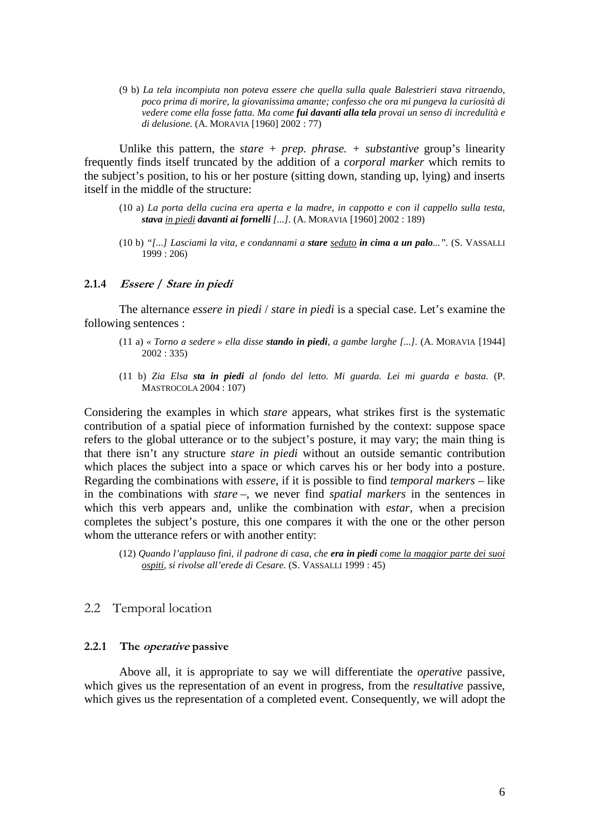(9 b) *La tela incompiuta non poteva essere che quella sulla quale Balestrieri stava ritraendo, poco prima di morire, la giovanissima amante; confesso che ora mi pungeva la curiosità di vedere come ella fosse fatta. Ma come fui davanti alla tela provai un senso di incredulità e di delusione.* (A. MORAVIA [1960] 2002 : 77)

Unlike this pattern, the *stare + prep. phrase. + substantive* group's linearity frequently finds itself truncated by the addition of a *corporal marker* which remits to the subject's position, to his or her posture (sitting down, standing up, lying) and inserts itself in the middle of the structure:

- (10 a) *La porta della cucina era aperta e la madre, in cappotto e con il cappello sulla testa, stava in piedi davanti ai fornelli [...].* (A. MORAVIA [1960] 2002 : 189)
- (10 b) *"[...] Lasciami la vita, e condannami a stare seduto in cima a un palo...".* (S. VASSALLI 1999 : 206)

#### **2.1.4 Essere / Stare in piedi**

The alternance *essere in piedi* / *stare in piedi* is a special case. Let's examine the following sentences :

- (11 a) *« Torno a sedere » ella disse stando in piedi, a gambe larghe [...].* (A. MORAVIA [1944] 2002 : 335)
- (11 b) *Zia Elsa sta in piedi al fondo del letto. Mi guarda. Lei mi guarda e basta.* (P. MASTROCOLA 2004 : 107)

Considering the examples in which *stare* appears, what strikes first is the systematic contribution of a spatial piece of information furnished by the context: suppose space refers to the global utterance or to the subject's posture, it may vary; the main thing is that there isn't any structure *stare in piedi* without an outside semantic contribution which places the subject into a space or which carves his or her body into a posture. Regarding the combinations with *essere*, if it is possible to find *temporal markers* – like in the combinations with *stare* –, we never find *spatial markers* in the sentences in which this verb appears and, unlike the combination with *estar*, when a precision completes the subject's posture, this one compares it with the one or the other person whom the utterance refers or with another entity:

#### 2.2 Temporal location

### **2.2.1 The operative passive**

Above all, it is appropriate to say we will differentiate the *operative* passive, which gives us the representation of an event in progress, from the *resultative* passive, which gives us the representation of a completed event. Consequently, we will adopt the

<sup>(12)</sup> *Quando l'applauso finì, il padrone di casa, che era in piedi come la maggior parte dei suoi ospiti, si rivolse all'erede di Cesare.* (S. VASSALLI 1999 : 45)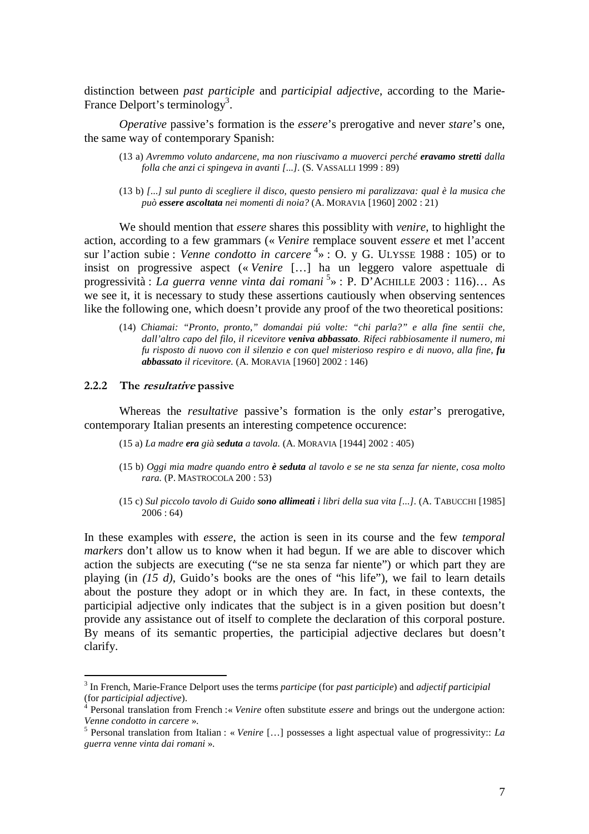distinction between *past participle* and *participial adjective*, according to the Marie-France Delport's terminology<sup>3</sup>.

*Operative* passive's formation is the *essere*'s prerogative and never *stare*'s one, the same way of contemporary Spanish:

- (13 a) *Avremmo voluto andarcene, ma non riuscivamo a muoverci perché eravamo stretti dalla folla che anzi ci spingeva in avanti [...].* (S. VASSALLI 1999 : 89)
- (13 b) *[...] sul punto di scegliere il disco, questo pensiero mi paralizzava: qual è la musica che può essere ascoltata nei momenti di noia?* (A. MORAVIA [1960] 2002 : 21)

We should mention that *essere* shares this possiblity with *venire*, to highlight the action, according to a few grammars (« *Venire* remplace souvent *essere* et met l'accent sur l'action subie : *Venne condotto in carcere* <sup>4</sup>  $\rightarrow$  : O. y G. ULYSSE 1988 : 105) or to insist on progressive aspect (« *Venire* […] ha un leggero valore aspettuale di progressività : *La guerra venne vinta dai romani* <sup>5</sup> » : P. D'ACHILLE 2003 : 116)… As we see it, it is necessary to study these assertions cautiously when observing sentences like the following one, which doesn't provide any proof of the two theoretical positions:

(14) *Chiamai: "Pronto, pronto," domandai piú volte: "chi parla?" e alla fine sentii che, dall'altro capo del filo, il ricevitore veniva abbassato. Rifeci rabbiosamente il numero, mi fu risposto di nuovo con il silenzio e con quel misterioso respiro e di nuovo, alla fine, fu abbassato il ricevitore.* (A. MORAVIA [1960] 2002 : 146)

#### **2.2.2 The resultative passive**

 $\overline{a}$ 

Whereas the *resultative* passive's formation is the only *estar*'s prerogative, contemporary Italian presents an interesting competence occurence:

- (15 a) *La madre era già seduta a tavola.* (A. MORAVIA [1944] 2002 : 405)
- (15 b) *Oggi mia madre quando entro è seduta al tavolo e se ne sta senza far niente, cosa molto rara.* (P. MASTROCOLA 200 : 53)
- (15 c) *Sul piccolo tavolo di Guido sono allimeati i libri della sua vita [...].* (A. TABUCCHI [1985] 2006 : 64)

In these examples with *essere*, the action is seen in its course and the few *temporal markers* don't allow us to know when it had begun. If we are able to discover which action the subjects are executing ("se ne sta senza far niente") or which part they are playing (in *(15 d)*, Guido's books are the ones of "his life"), we fail to learn details about the posture they adopt or in which they are. In fact, in these contexts, the participial adjective only indicates that the subject is in a given position but doesn't provide any assistance out of itself to complete the declaration of this corporal posture. By means of its semantic properties, the participial adjective declares but doesn't clarify.

<sup>3</sup> In French, Marie-France Delport uses the terms *participe* (for *past participle*) and *adjectif participial* (for *participial adjective*).

<sup>4</sup> Personal translation from French :« *Venire* often substitute *essere* and brings out the undergone action: *Venne condotto in carcere* ».

<sup>5</sup> Personal translation from Italian : « *Venire* […] possesses a light aspectual value of progressivity:: *La guerra venne vinta dai romani* ».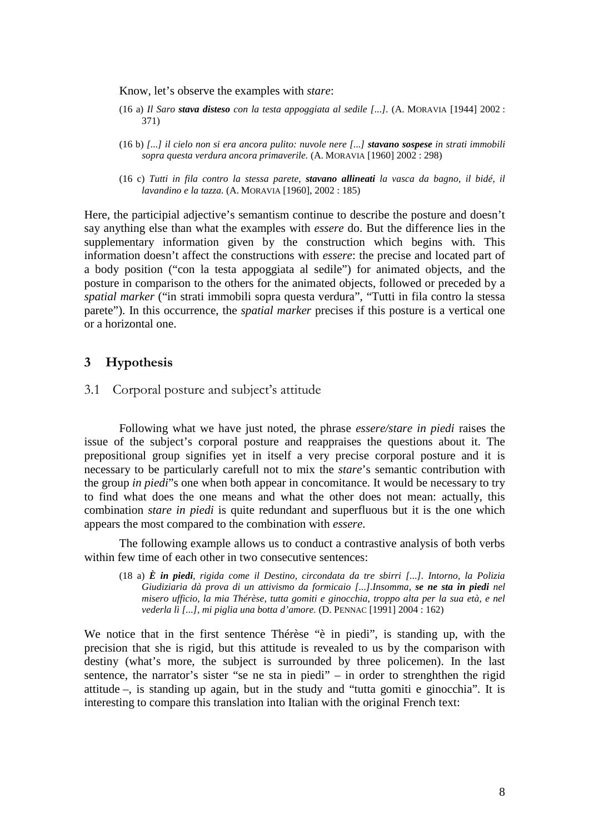Know, let's observe the examples with *stare*:

- (16 a) *Il Saro stava disteso con la testa appoggiata al sedile [...].* (A. MORAVIA [1944] 2002 : 371)
- (16 b) *[...] il cielo non si era ancora pulito: nuvole nere [...] stavano sospese in strati immobili sopra questa verdura ancora primaverile.* (A. MORAVIA [1960] 2002 : 298)
- (16 c) *Tutti in fila contro la stessa parete, stavano allineati la vasca da bagno, il bidé, il lavandino e la tazza.* (A. MORAVIA [1960], 2002 : 185)

Here, the participial adjective's semantism continue to describe the posture and doesn't say anything else than what the examples with *essere* do. But the difference lies in the supplementary information given by the construction which begins with. This information doesn't affect the constructions with *essere*: the precise and located part of a body position ("con la testa appoggiata al sedile") for animated objects, and the posture in comparison to the others for the animated objects, followed or preceded by a *spatial marker* ("in strati immobili sopra questa verdura", "Tutti in fila contro la stessa parete"). In this occurrence, the *spatial marker* precises if this posture is a vertical one or a horizontal one.

## **3 Hypothesis**

3.1 Corporal posture and subject's attitude

Following what we have just noted, the phrase *essere/stare in piedi* raises the issue of the subject's corporal posture and reappraises the questions about it. The prepositional group signifies yet in itself a very precise corporal posture and it is necessary to be particularly carefull not to mix the *stare*'s semantic contribution with the group *in piedi*"s one when both appear in concomitance. It would be necessary to try to find what does the one means and what the other does not mean: actually, this combination *stare in piedi* is quite redundant and superfluous but it is the one which appears the most compared to the combination with *essere*.

The following example allows us to conduct a contrastive analysis of both verbs within few time of each other in two consecutive sentences:

(18 a) *È in piedi, rigida come il Destino, circondata da tre sbirri [...]. Intorno, la Polizia Giudiziaria dà prova di un attivismo da formicaio [...].Insomma, se ne sta in piedi nel misero ufficio, la mia Thérèse, tutta gomiti e ginocchia, troppo alta per la sua età, e nel vederla lì [...], mi piglia una botta d'amore.* (D. PENNAC [1991] 2004 : 162)

We notice that in the first sentence Thérèse "è in piedi", is standing up, with the precision that she is rigid, but this attitude is revealed to us by the comparison with destiny (what's more, the subject is surrounded by three policemen). In the last sentence, the narrator's sister "se ne sta in piedi" – in order to strenghthen the rigid attitude –, is standing up again, but in the study and "tutta gomiti e ginocchia". It is interesting to compare this translation into Italian with the original French text: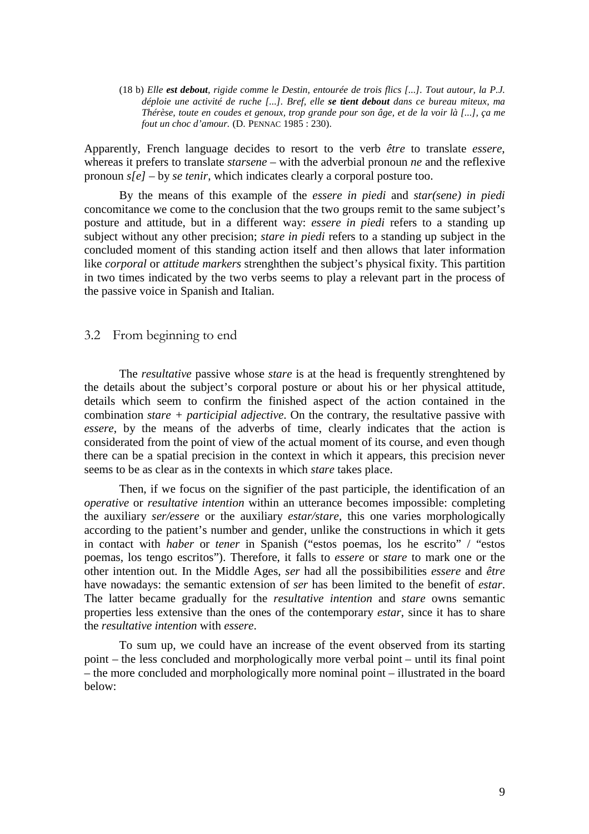(18 b) *Elle est debout, rigide comme le Destin, entourée de trois flics [...]. Tout autour, la P.J. déploie une activité de ruche [...]. Bref, elle se tient debout dans ce bureau miteux, ma Thérèse, toute en coudes et genoux, trop grande pour son âge, et de la voir là [...], ça me fout un choc d'amour.* (D. PENNAC 1985 : 230).

Apparently, French language decides to resort to the verb *être* to translate *essere*, whereas it prefers to translate *starsene* – with the adverbial pronoun *ne* and the reflexive pronoun *s[e]* – by *se tenir*, which indicates clearly a corporal posture too.

By the means of this example of the *essere in piedi* and *star(sene) in piedi* concomitance we come to the conclusion that the two groups remit to the same subject's posture and attitude, but in a different way: *essere in piedi* refers to a standing up subject without any other precision; *stare in piedi* refers to a standing up subject in the concluded moment of this standing action itself and then allows that later information like *corporal* or *attitude markers* strenghthen the subject's physical fixity. This partition in two times indicated by the two verbs seems to play a relevant part in the process of the passive voice in Spanish and Italian.

## 3.2 From beginning to end

The *resultative* passive whose *stare* is at the head is frequently strenghtened by the details about the subject's corporal posture or about his or her physical attitude, details which seem to confirm the finished aspect of the action contained in the combination *stare + participial adjective*. On the contrary, the resultative passive with *essere*, by the means of the adverbs of time, clearly indicates that the action is considerated from the point of view of the actual moment of its course, and even though there can be a spatial precision in the context in which it appears, this precision never seems to be as clear as in the contexts in which *stare* takes place.

Then, if we focus on the signifier of the past participle, the identification of an *operative* or *resultative intention* within an utterance becomes impossible: completing the auxiliary *ser/essere* or the auxiliary *estar/stare*, this one varies morphologically according to the patient's number and gender, unlike the constructions in which it gets in contact with *haber* or *tener* in Spanish ("estos poemas, los he escrito" / "estos poemas, los tengo escritos"). Therefore, it falls to *essere* or *stare* to mark one or the other intention out. In the Middle Ages, *ser* had all the possibibilities *essere* and *être* have nowadays: the semantic extension of *ser* has been limited to the benefit of *estar*. The latter became gradually for the *resultative intention* and *stare* owns semantic properties less extensive than the ones of the contemporary *estar*, since it has to share the *resultative intention* with *essere*.

To sum up, we could have an increase of the event observed from its starting point – the less concluded and morphologically more verbal point – until its final point – the more concluded and morphologically more nominal point – illustrated in the board below: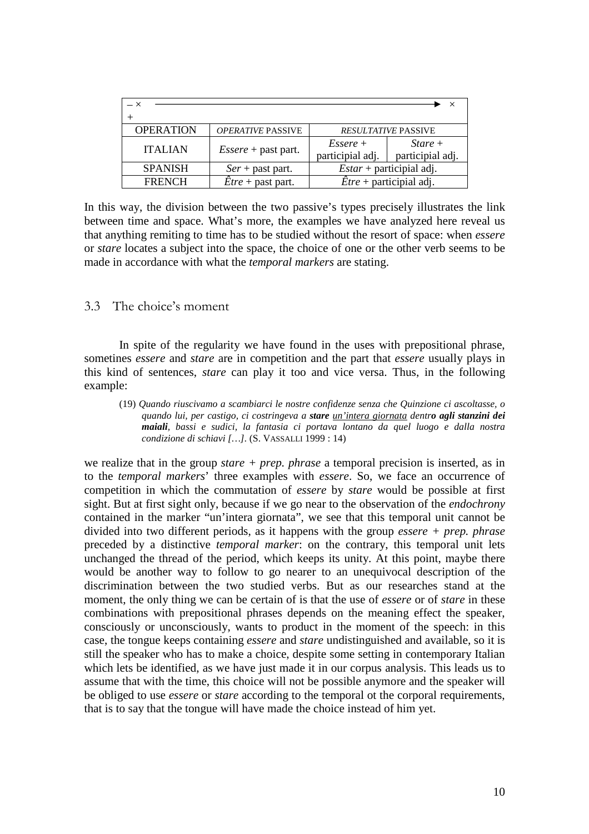| <b>OPERATION</b> | <b>OPERATIVE PASSIVE</b>          | <b>RESULTATIVE PASSIVE</b>              |                              |
|------------------|-----------------------------------|-----------------------------------------|------------------------------|
| <b>ITALIAN</b>   | $Essere$ + past part.             | $Essere +$<br>participial adj.          | $State+$<br>participial adj. |
| <b>SPANISH</b>   | $Ser + past part.$                | $Estar$ + participial adj.              |                              |
| <b>FRENCH</b>    | $\dot{E}$ <i>tre</i> + past part. | $\hat{E}$ <i>tre</i> + participial adj. |                              |

In this way, the division between the two passive's types precisely illustrates the link between time and space. What's more, the examples we have analyzed here reveal us that anything remiting to time has to be studied without the resort of space: when *essere* or *stare* locates a subject into the space, the choice of one or the other verb seems to be made in accordance with what the *temporal markers* are stating.

## 3.3 The choice's moment

In spite of the regularity we have found in the uses with prepositional phrase, sometines *essere* and *stare* are in competition and the part that *essere* usually plays in this kind of sentences, *stare* can play it too and vice versa. Thus, in the following example:

(19) *Quando riuscivamo a scambiarci le nostre confidenze senza che Quinzione ci ascoltasse, o quando lui, per castigo, ci costringeva a stare un'intera giornata dentro agli stanzini dei maiali, bassi e sudici, la fantasia ci portava lontano da quel luogo e dalla nostra condizione di schiavi […].* (S. VASSALLI 1999 : 14)

we realize that in the group *stare + prep. phrase* a temporal precision is inserted, as in to the *temporal markers*' three examples with *essere*. So, we face an occurrence of competition in which the commutation of *essere* by *stare* would be possible at first sight. But at first sight only, because if we go near to the observation of the *endochrony* contained in the marker "un'intera giornata", we see that this temporal unit cannot be divided into two different periods, as it happens with the group *essere + prep. phrase* preceded by a distinctive *temporal marker*: on the contrary, this temporal unit lets unchanged the thread of the period, which keeps its unity. At this point, maybe there would be another way to follow to go nearer to an unequivocal description of the discrimination between the two studied verbs. But as our researches stand at the moment, the only thing we can be certain of is that the use of *essere* or of *stare* in these combinations with prepositional phrases depends on the meaning effect the speaker, consciously or unconsciously, wants to product in the moment of the speech: in this case, the tongue keeps containing *essere* and *stare* undistinguished and available, so it is still the speaker who has to make a choice, despite some setting in contemporary Italian which lets be identified, as we have just made it in our corpus analysis. This leads us to assume that with the time, this choice will not be possible anymore and the speaker will be obliged to use *essere* or *stare* according to the temporal ot the corporal requirements, that is to say that the tongue will have made the choice instead of him yet.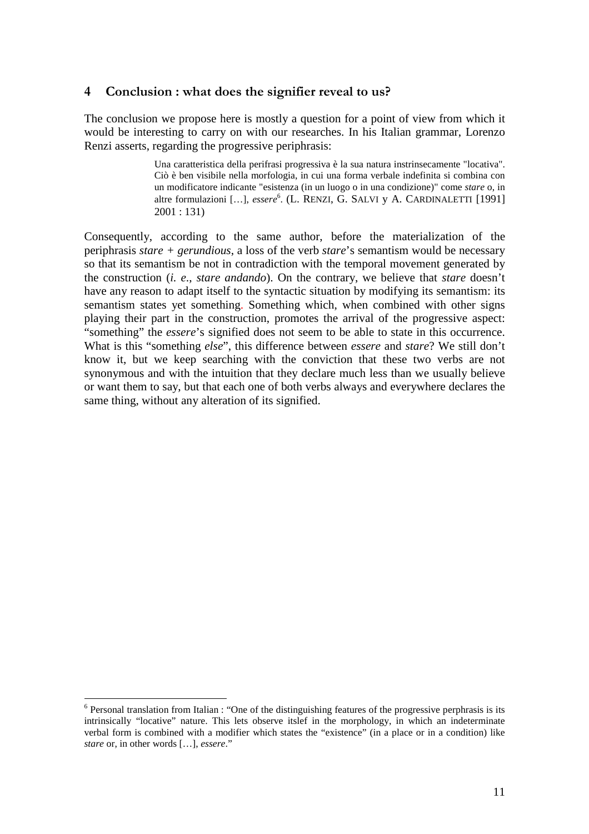## **4 Conclusion : what does the signifier reveal to us?**

The conclusion we propose here is mostly a question for a point of view from which it would be interesting to carry on with our researches. In his Italian grammar, Lorenzo Renzi asserts, regarding the progressive periphrasis:

> Una caratteristica della perifrasi progressiva è la sua natura instrinsecamente "locativa". Ciò è ben visibile nella morfologia, in cui una forma verbale indefinita si combina con un modificatore indicante "esistenza (in un luogo o in una condizione)" come *stare* o, in altre formulazioni […], *essere* 6 . (L. RENZI, G. SALVI y A. CARDINALETTI [1991] 2001 : 131)

Consequently, according to the same author, before the materialization of the periphrasis *stare + gerundious*, a loss of the verb *stare*'s semantism would be necessary so that its semantism be not in contradiction with the temporal movement generated by the construction (*i. e*., *stare andando*). On the contrary, we believe that *stare* doesn't have any reason to adapt itself to the syntactic situation by modifying its semantism: its semantism states yet something. Something which, when combined with other signs playing their part in the construction, promotes the arrival of the progressive aspect: "something" the *essere*'s signified does not seem to be able to state in this occurrence. What is this "something *else*", this difference between *essere* and *stare*? We still don't know it, but we keep searching with the conviction that these two verbs are not synonymous and with the intuition that they declare much less than we usually believe or want them to say, but that each one of both verbs always and everywhere declares the same thing, without any alteration of its signified.

 $\overline{a}$ 

<sup>&</sup>lt;sup>6</sup> Personal translation from Italian : "One of the distinguishing features of the progressive perphrasis is its intrinsically "locative" nature. This lets observe itslef in the morphology, in which an indeterminate verbal form is combined with a modifier which states the "existence" (in a place or in a condition) like *stare* or, in other words […], *essere*."